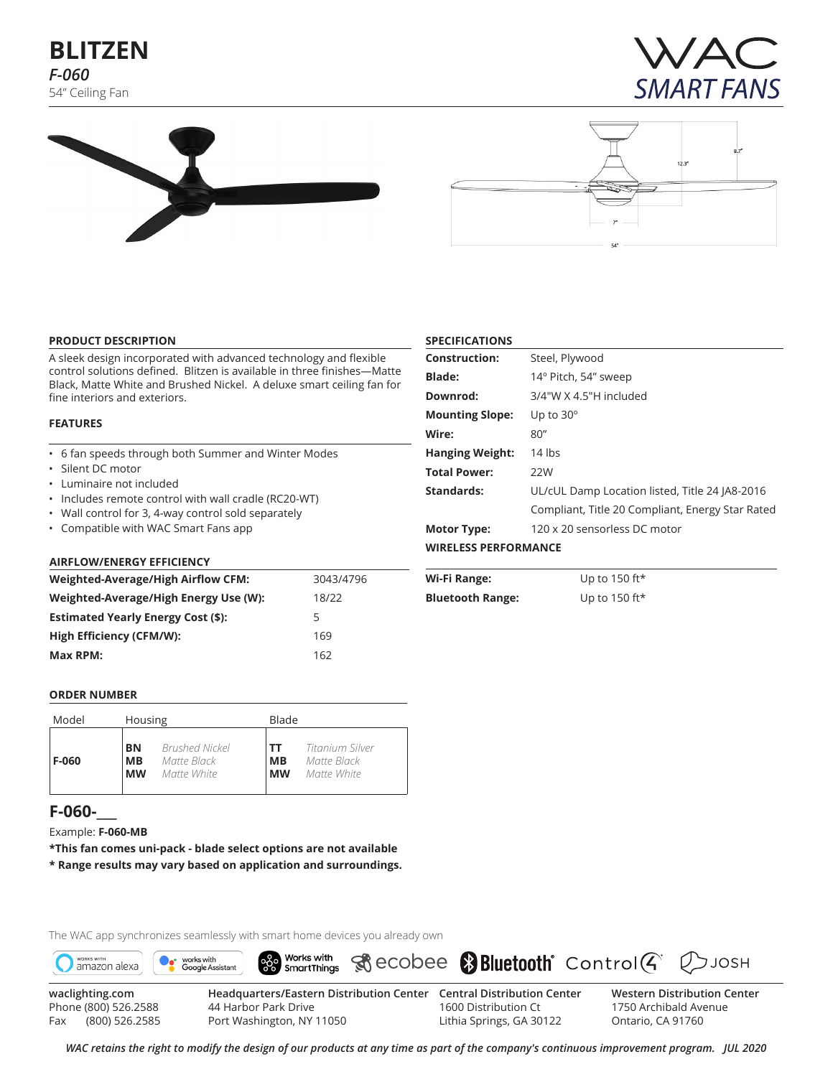# **BLITZEN** *F-060* 54" Ceiling Fan







#### **PRODUCT DESCRIPTION**

A sleek design incorporated with advanced technology and flexible control solutions defined. Blitzen is available in three finishes—Matte Black, Matte White and Brushed Nickel. A deluxe smart ceiling fan for fine interiors and exteriors.

#### **FEATURES**

- 6 fan speeds through both Summer and Winter Modes
- Silent DC motor
- Luminaire not included
- Includes remote control with wall cradle (RC20-WT)
- Wall control for 3, 4-way control sold separately
- Compatible with WAC Smart Fans app

#### **AIRFLOW/ENERGY EFFICIENCY**

| <b>Weighted-Average/High Airflow CFM:</b> | 3043/4796 |  |  |  |
|-------------------------------------------|-----------|--|--|--|
| Weighted-Average/High Energy Use (W):     | 18/22     |  |  |  |
| <b>Estimated Yearly Energy Cost (\$):</b> | 5         |  |  |  |
| High Efficiency (CFM/W):                  | 169       |  |  |  |
| Max RPM:                                  | 162       |  |  |  |

| <b>Construction:</b>        | Steel, Plywood                                   |
|-----------------------------|--------------------------------------------------|
| <b>Blade:</b>               | 14° Pitch, 54" sweep                             |
| Downrod:                    | 3/4"W X 4.5"H included                           |
| <b>Mounting Slope:</b>      | Up to $30^\circ$                                 |
| Wire:                       | 80''                                             |
| <b>Hanging Weight:</b>      | $14$ lbs                                         |
| <b>Total Power:</b>         | 22W                                              |
| Standards:                  | UL/cUL Damp Location listed, Title 24 JA8-2016   |
|                             | Compliant, Title 20 Compliant, Energy Star Rated |
| <b>Motor Type:</b>          | 120 x 20 sensorless DC motor                     |
| <b>WIRELESS PERFORMANCE</b> |                                                  |

| Wi-Fi Range:            | Up to 150 ft $\star$ |
|-------------------------|----------------------|
| <b>Bluetooth Range:</b> | Up to 150 ft $\star$ |

**SPECIFICATIONS**

#### **ORDER NUMBER**

| Model | Housing   |                       |           | Blade           |  |  |  |  |
|-------|-----------|-----------------------|-----------|-----------------|--|--|--|--|
| F-060 | BN        | <b>Brushed Nickel</b> | TΤ        | Titanium Silver |  |  |  |  |
|       | MВ        | Matte Black           | <b>MB</b> | Matte Black     |  |  |  |  |
|       | <b>MW</b> | Matte White           | <b>MW</b> | Matte White     |  |  |  |  |

# **F-060-\_\_\_**

Example: **F-060-MB**

**\*This fan comes uni-pack - blade select options are not available \* Range results may vary based on application and surroundings.**

The WAC app synchronizes seamlessly with smart home devices you already own



Phone (800) 526.2588 Fax (800) 526.2585

44 Harbor Park Drive Port Washington, NY 11050

1600 Distribution Ct Lithia Springs, GA 30122 1750 Archibald Avenue Ontario, CA 91760

*WAC retains the right to modify the design of our products at any time as part of the company's continuous improvement program. Jul 2020*